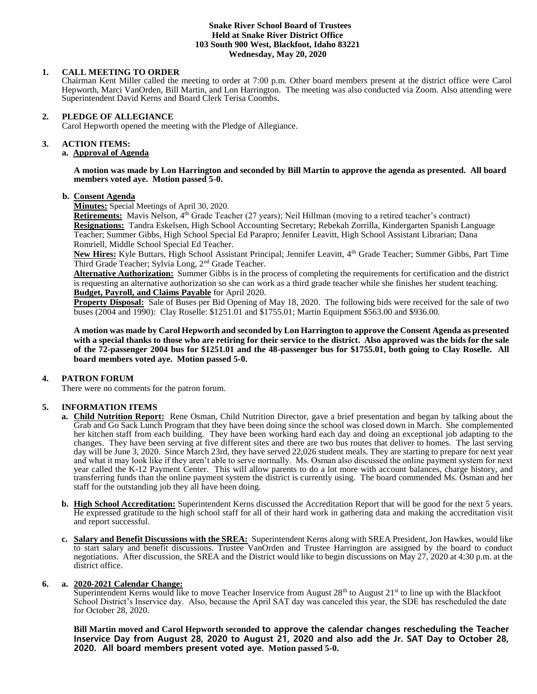#### **Snake River School Board of Trustees Held at Snake River District Office 103 South 900 West, Blackfoot, Idaho 83221 Wednesday, May 20, 2020**

# **1. CALL MEETING TO ORDER**

Chairman Kent Miller called the meeting to order at 7:00 p.m. Other board members present at the district office were Carol Hepworth, Marci VanOrden, Bill Martin, and Lon Harrington. The meeting was also conducted via Zoom. Also attending were Superintendent David Kerns and Board Clerk Terisa Coombs.

# **2. PLEDGE OF ALLEGIANCE**

Carol Hepworth opened the meeting with the Pledge of Allegiance.

#### 3. **3. ACTION ITEMS:**

# **a. Approval of Agenda**

#### **A motion was made by Lon Harrington and seconded by Bill Martin to approve the agenda as presented. All board members voted aye. Motion passed 5-0.**

# **b. Consent Agenda**

**Minutes:** Special Meetings of April 30, 2020.

**Retirements:** Mavis Nelson, 4<sup>th</sup> Grade Teacher (27 years); Neil Hillman (moving to a retired teacher's contract) **Resignations:** Tandra Eskelsen, High School Accounting Secretary; Rebekah Zorrilla, Kindergarten Spanish Language Teacher; Summer Gibbs, High School Special Ed Parapro; Jennifer Leavitt, High School Assistant Librarian; Dana Romriell, Middle School Special Ed Teacher.

**New Hires:** Kyle Buttars, High School Assistant Principal; Jennifer Leavitt, 4th Grade Teacher; Summer Gibbs, Part Time Third Grade Teacher; Sylvia Long, 2<sup>nd</sup> Grade Teacher.

**Alternative Authorization:** Summer Gibbs is in the process of completing the requirements for certification and the district is requesting an alternative authorization so she can work as a third grade teacher while she finishes her student teaching. **Budget, Payroll, and Claims Payable** for April 2020.

**Property Disposal:** Sale of Buses per Bid Opening of May 18, 2020. The following bids were received for the sale of two buses (2004 and 1990): Clay Roselle: \$1251.01 and \$1755.01; Martin Equipment \$563.00 and \$936.00.

**A motion was made by Carol Hepworth and seconded by Lon Harrington to approve the Consent Agenda as presented with a special thanks to those who are retiring for their service to the district. Also approved was the bids for the sale of the 72-passenger 2004 bus for \$1251.01 and the 48-passenger bus for \$1755.01, both going to Clay Roselle. All board members voted aye. Motion passed 5-0.**

# **4. PATRON FORUM**

There were no comments for the patron forum.

# **5. INFORMATION ITEMS**

- **a. Child Nutrition Report:** Rene Osman, Child Nutrition Director, gave a brief presentation and began by talking about the Grab and Go Sack Lunch Program that they have been doing since the school was closed down in March. She complemented her kitchen staff from each building. They have been working hard each day and doing an exceptional job adapting to the changes. They have been serving at five different sites and there are two bus routes that deliver to homes. The last serving day will be June 3, 2020. Since March 23rd, they have served 22,026 student meals. They are starting to prepare for next year and what it may look like if they aren't able to serve normally. Ms. Osman also discussed the online payment system for next year called the K-12 Payment Center. This will allow parents to do a lot more with account balances, charge history, and transferring funds than the online payment system the district is currently using. The board commended Ms. Osman and her staff for the outstanding job they all have been doing.
- **b. High School Accreditation:** Superintendent Kerns discussed the Accreditation Report that will be good for the next 5 years. He expressed gratitude to the high school staff for all of their hard work in gathering data and making the accreditation visit and report successful.
- **c. Salary and Benefit Discussions with the SREA:** Superintendent Kerns along with SREA President, Jon Hawkes, would like to start salary and benefit discussions. Trustee VanOrden and Trustee Harrington are assigned by the board to conduct negotiations. After discussion, the SREA and the District would like to begin discussions on May 27, 2020 at 4:30 p.m. at the district office.

# **6. a. 2020-2021 Calendar Change:**

Superintendent Kerns would like to move Teacher Inservice from August 28<sup>th</sup> to August 21<sup>st</sup> to line up with the Blackfoot School District's Inservice day. Also, because the April SAT day was canceled this year, the SDE has rescheduled the date for October 28, 2020.

**Bill Martin moved and Carol Hepworth seconded to approve the calendar changes rescheduling the Teacher Inservice Day from August 28, 2020 to August 21, 2020 and also add the Jr. SAT Day to October 28, 2020. All board members present voted aye. Motion passed 5-0.**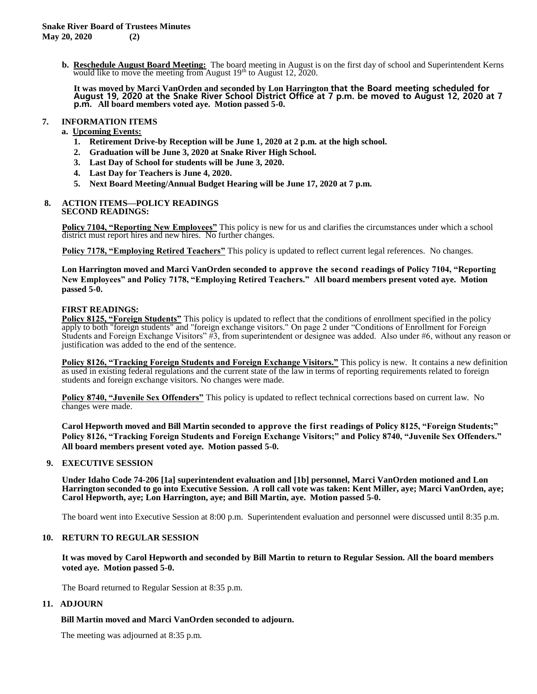**b. Reschedule August Board Meeting:** The board meeting in August is on the first day of school and Superintendent Kerns would like to move the meeting from August  $19<sup>th</sup>$  to August 12, 2020.

**It was moved by Marci VanOrden and seconded by Lon Harrington that the Board meeting scheduled for August 19, 2020 at the Snake River School District Office at 7 p.m. be moved to August 12, 2020 at 7 p.m. All board members voted aye. Motion passed 5-0.**

# **7. INFORMATION ITEMS**

# **a. Upcoming Events:**

- **1. Retirement Drive-by Reception will be June 1, 2020 at 2 p.m. at the high school.**
- **2. Graduation will be June 3, 2020 at Snake River High School.**
- **3. Last Day of School for students will be June 3, 2020.**
- **4. Last Day for Teachers is June 4, 2020.**
- **5. Next Board Meeting/Annual Budget Hearing will be June 17, 2020 at 7 p.m.**

#### **8. ACTION ITEMS—POLICY READINGS SECOND READINGS:**

**Policy 7104, "Reporting New Employees"** This policy is new for us and clarifies the circumstances under which a school district must report hires and new hires. No further changes.

**Policy 7178, "Employing Retired Teachers"** This policy is updated to reflect current legal references. No changes.

**Lon Harrington moved and Marci VanOrden seconded to approve the second readings of Policy 7104, "Reporting New Employees" and Policy 7178, "Employing Retired Teachers." All board members present voted aye. Motion passed 5-0.**

# **FIRST READINGS:**

**Policy 8125, "Foreign Students"** This policy is updated to reflect that the conditions of enrollment specified in the policy apply to both "foreign students" and "foreign exchange visitors." On page 2 under "Conditions of Enrollment for Foreign Students and Foreign Exchange Visitors" #3, from superintendent or designee was added. Also under #6, without any reason or justification was added to the end of the sentence.

**Policy 8126, "Tracking Foreign Students and Foreign Exchange Visitors."** This policy is new. It contains a new definition as used in existing federal regulations and the current state of the law in terms of reporting requirements related to foreign students and foreign exchange visitors. No changes were made.

**Policy 8740, "Juvenile Sex Offenders"** This policy is updated to reflect technical corrections based on current law. No changes were made.

**Carol Hepworth moved and Bill Martin seconded to approve the first readings of Policy 8125, "Foreign Students;" Policy 8126, "Tracking Foreign Students and Foreign Exchange Visitors;" and Policy 8740, "Juvenile Sex Offenders." All board members present voted aye. Motion passed 5-0.**

# **9. EXECUTIVE SESSION**

**Under Idaho Code 74-206 [1a] superintendent evaluation and [1b] personnel, Marci VanOrden motioned and Lon Harrington seconded to go into Executive Session. A roll call vote was taken: Kent Miller, aye; Marci VanOrden, aye; Carol Hepworth, aye; Lon Harrington, aye; and Bill Martin, aye. Motion passed 5-0.** 

The board went into Executive Session at 8:00 p.m. Superintendent evaluation and personnel were discussed until 8:35 p.m.

# **10. RETURN TO REGULAR SESSION**

**It was moved by Carol Hepworth and seconded by Bill Martin to return to Regular Session. All the board members voted aye. Motion passed 5-0.** 

The Board returned to Regular Session at 8:35 p.m.

# **11. ADJOURN**

# **Bill Martin moved and Marci VanOrden seconded to adjourn.**

The meeting was adjourned at 8:35 p.m.